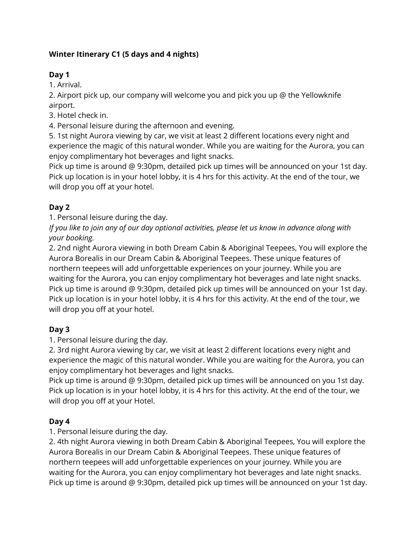#### **Winter Itinerary C1 (5 days and 4 nights)**

#### **Day 1**

1. Arrival.

2. Airport pick up, our company will welcome you and pick you up @ the Yellowknife airport.

3. Hotel check in.

4. Personal leisure during the afternoon and evening.

5. 1st night Aurora viewing by car, we visit at least 2 different locations every night and experience the magic of this natural wonder. While you are waiting for the Aurora, you can enjoy complimentary hot beverages and light snacks.

Pick up time is around @ 9:30pm, detailed pick up times will be announced on your 1st day. Pick up location is in your hotel lobby, it is 4 hrs for this activity. At the end of the tour, we will drop you off at your hotel.

## **Day 2**

1. Personal leisure during the day.

*If you like to join any of our day optional activities, please let us know in advance along with your booking.*

2. 2nd night Aurora viewing in both Dream Cabin & Aboriginal Teepees, You will explore the Aurora Borealis in our Dream Cabin & Aboriginal Teepees. These unique features of northern teepees will add unforgettable experiences on your journey. While you are waiting for the Aurora, you can enjoy complimentary hot beverages and late night snacks. Pick up time is around @ 9:30pm, detailed pick up times will be announced on your 1st day. Pick up location is in your hotel lobby, it is 4 hrs for this activity. At the end of the tour, we will drop you off at your hotel.

## **Day 3**

1. Personal leisure during the day.

2. 3rd night Aurora viewing by car, we visit at least 2 different locations every night and experience the magic of this natural wonder. While you are waiting for the Aurora, you can enjoy complimentary hot beverages and light snacks.

Pick up time is around @ 9:30pm, detailed pick up times will be announced on you 1st day. Pick up location is in your hotel lobby, it is 4 hrs for this activity. At the end of the tour, we will drop you off at your Hotel.

## **Day 4**

1. Personal leisure during the day.

2. 4th night Aurora viewing in both Dream Cabin & Aboriginal Teepees, You will explore the Aurora Borealis in our Dream Cabin & Aboriginal Teepees. These unique features of northern teepees will add unforgettable experiences on your journey. While you are waiting for the Aurora, you can enjoy complimentary hot beverages and late night snacks. Pick up time is around @ 9:30pm, detailed pick up times will be announced on your 1st day.